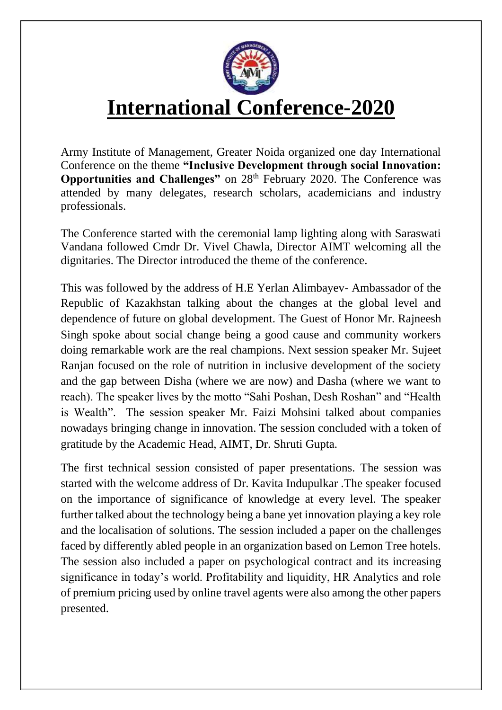

## **International Conference-2020**

Army Institute of Management, Greater Noida organized one day International Conference on the theme **"Inclusive Development through social Innovation: Opportunities and Challenges**" on 28<sup>th</sup> February 2020. The Conference was attended by many delegates, research scholars, academicians and industry professionals.

The Conference started with the ceremonial lamp lighting along with Saraswati Vandana followed Cmdr Dr. Vivel Chawla, Director AIMT welcoming all the dignitaries. The Director introduced the theme of the conference.

This was followed by the address of H.E Yerlan Alimbayev- Ambassador of the Republic of Kazakhstan talking about the changes at the global level and dependence of future on global development. The Guest of Honor Mr. Rajneesh Singh spoke about social change being a good cause and community workers doing remarkable work are the real champions. Next session speaker Mr. Sujeet Ranjan focused on the role of nutrition in inclusive development of the society and the gap between Disha (where we are now) and Dasha (where we want to reach). The speaker lives by the motto "Sahi Poshan, Desh Roshan" and "Health is Wealth". The session speaker Mr. Faizi Mohsini talked about companies nowadays bringing change in innovation. The session concluded with a token of gratitude by the Academic Head, AIMT, Dr. Shruti Gupta.

The first technical session consisted of paper presentations. The session was started with the welcome address of Dr. Kavita Indupulkar .The speaker focused on the importance of significance of knowledge at every level. The speaker further talked about the technology being a bane yet innovation playing a key role and the localisation of solutions. The session included a paper on the challenges faced by differently abled people in an organization based on Lemon Tree hotels. The session also included a paper on psychological contract and its increasing significance in today's world. Profitability and liquidity, HR Analytics and role of premium pricing used by online travel agents were also among the other papers presented.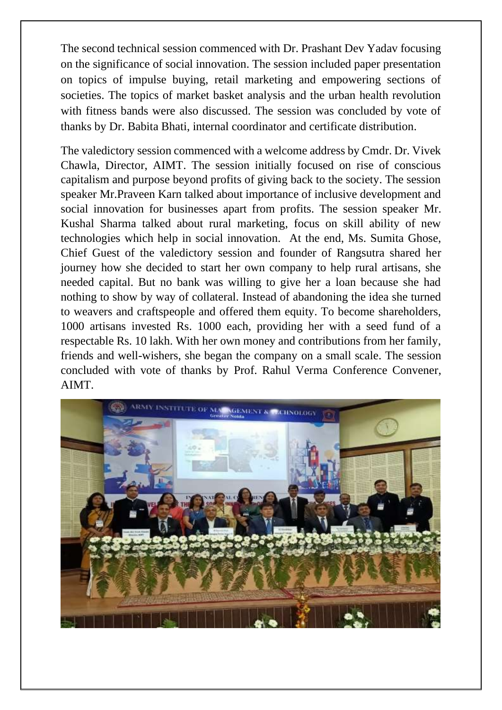The second technical session commenced with Dr. Prashant Dev Yadav focusing on the significance of social innovation. The session included paper presentation on topics of impulse buying, retail marketing and empowering sections of societies. The topics of market basket analysis and the urban health revolution with fitness bands were also discussed. The session was concluded by vote of thanks by Dr. Babita Bhati, internal coordinator and certificate distribution.

The valedictory session commenced with a welcome address by Cmdr. Dr. Vivek Chawla, Director, AIMT. The session initially focused on rise of conscious capitalism and purpose beyond profits of giving back to the society. The session speaker Mr.Praveen Karn talked about importance of inclusive development and social innovation for businesses apart from profits. The session speaker Mr. Kushal Sharma talked about rural marketing, focus on skill ability of new technologies which help in social innovation. At the end, Ms. Sumita Ghose, Chief Guest of the valedictory session and founder of Rangsutra shared her journey how she decided to start her own company to help rural artisans, she needed capital. But no bank was willing to give her a loan because she had nothing to show by way of collateral. Instead of abandoning the idea she turned to weavers and craftspeople and offered them equity. To become shareholders, 1000 artisans invested Rs. 1000 each, providing her with a seed fund of a respectable Rs. 10 lakh. With her own money and contributions from her family, friends and well-wishers, she began the company on a small scale. The session concluded with vote of thanks by Prof. Rahul Verma Conference Convener, AIMT.

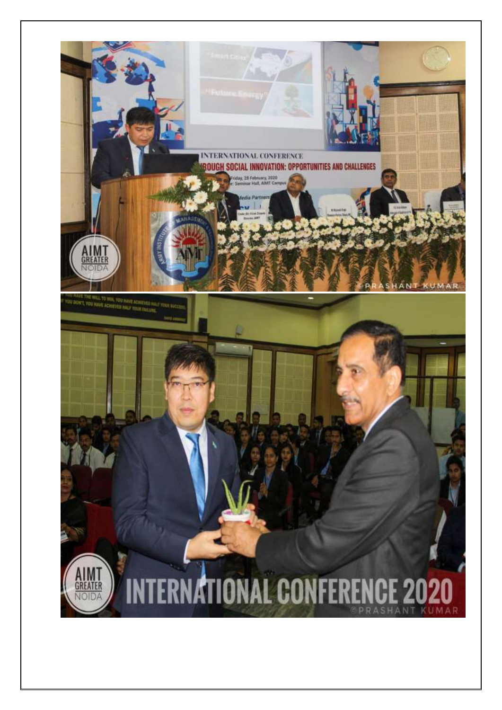